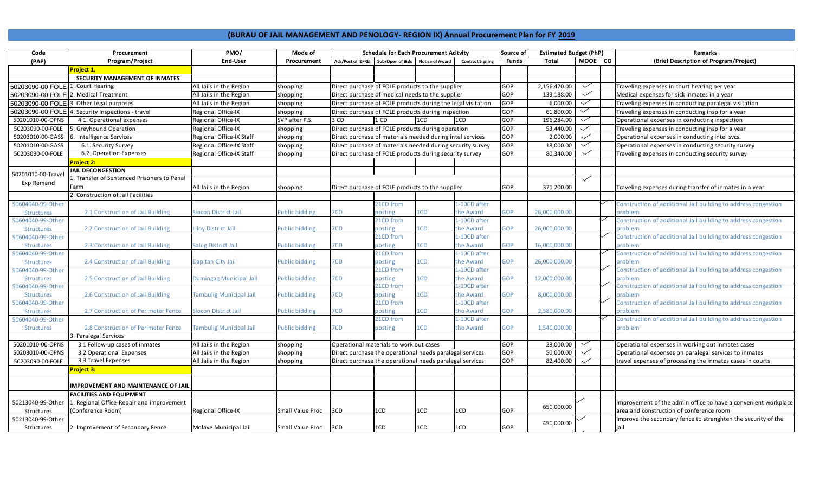## **(BURAU OF JAIL MANAGEMENT AND PENOLOGY- REGION IX) Annual Procurement Plan for FY 2019**

| Code                                  | Procurement                                 | PMO/                           | Mode of               | <b>Schedule for Each Procurement Acitvity</b>                |                  |                        | Source of               | <b>Estimated Budget (PhP)</b> |               |              | <b>Remarks</b> |                                                                |
|---------------------------------------|---------------------------------------------|--------------------------------|-----------------------|--------------------------------------------------------------|------------------|------------------------|-------------------------|-------------------------------|---------------|--------------|----------------|----------------------------------------------------------------|
| (PAP)                                 | Program/Project                             | <b>End-User</b>                | Procurement           | Ads/Post of IB/REI                                           | Sub/Open of Bids | <b>Notice of Award</b> | <b>Contract Signing</b> | Funds                         | <b>Total</b>  | MOOE CO      |                | (Brief Description of Program/Project)                         |
|                                       | Project 1.                                  |                                |                       |                                                              |                  |                        |                         |                               |               |              |                |                                                                |
|                                       | SECURITY MANAGEMENT OF INMATES              |                                |                       |                                                              |                  |                        |                         |                               |               |              |                |                                                                |
| 50203090-00 FOLE                      | 1. Court Hearing                            | All Jails in the Region        | shopping              | Direct purchase of FOLE products to the supplier             |                  |                        |                         | GOP                           | 2,156,470.00  | $\checkmark$ |                | Traveling expenses in court hearing per year                   |
| 50203090-00 FOLE 2. Medical Treatment |                                             | All Jails in the Region        | shopping              | Direct purchase of medical needs to the supplier             |                  |                        |                         |                               | 133,188.00    | $\checkmark$ |                | Medical expenses for sick inmates in a year                    |
| 50203090-00 FOLE                      | 3. Other Legal purposes                     | All Jails in the Region        | shopping              | Direct purchase of FOLE products during the legal visitation |                  |                        |                         | GOP                           | 6,000.00      |              |                | Traveling expenses in conducting paralegal visitation          |
| 50203090-00 FOLE                      | 4. Security Inspections - travel            | Regional Office-IX             | shopping              | Direct purchase of FOLE products during inspection           |                  |                        |                         | GOP                           | 61,800.00     | $\checkmark$ |                | Traveling expenses in conducting insp for a year               |
| 50201010-00-OPNS                      | 4.1. Operational expenses                   | Regional Office-IX             | SVP after P.S.        | 3 CD<br>1 CD<br>1CD<br>1CD                                   |                  |                        |                         | GOP                           | 196,284.00    | $\checkmark$ |                | Operational expenses in conducting inspection                  |
| 50203090-00-FOLE                      | 5. Greyhound Operation                      | Regional Office-IX             | shopping              | Direct purchase of FOLE products during operation            |                  |                        |                         | GOP                           | 53,440.00     |              |                | Traveling expenses in conducting insp for a year               |
| 50203010-00-GASS                      | 6. Intelligence Services                    | Regional Office-IX Staff       | shopping              | Direct purchase of materials needed during intel services    |                  |                        |                         | GOP                           | 2,000.00      | $\checkmark$ |                | Operational expenses in conducting intel svcs.                 |
| 50201010-00-GASS                      | 6.1. Security Survey                        | Regional Office-IX Staff       | shopping              | Direct purchase of materials needed during security survey   |                  |                        |                         | GOP                           | 18,000.00     |              |                | Operational expenses in conducting security survey             |
| 50203090-00-FOLE                      | 6.2. Operation Expenses                     | Regional Office-IX Staff       | shopping              | Direct purchase of FOLE products during security survey      |                  |                        |                         | GOP                           | 80,340.00     | $\checkmark$ |                | Traveling expenses in conducting security survey               |
|                                       | <b>Project 2:</b>                           |                                |                       |                                                              |                  |                        |                         |                               |               |              |                |                                                                |
|                                       | <b>JAIL DECONGESTION</b>                    |                                |                       |                                                              |                  |                        |                         |                               |               |              |                |                                                                |
| 50201010-00-Travel                    | 1. Transfer of Sentenced Prisoners to Penal |                                |                       |                                                              |                  |                        |                         |                               |               | $\checkmark$ |                |                                                                |
| Exp Remand                            | Farm                                        | All Jails in the Region        | shopping              | Direct purchase of FOLE products to the supplier             |                  |                        |                         | GOP                           | 371,200.00    |              |                | Traveling expenses during transfer of inmates in a year        |
|                                       | . Construction of Jail Facilities           |                                |                       |                                                              |                  |                        |                         |                               |               |              |                |                                                                |
| 50604040-99-Other                     |                                             |                                |                       |                                                              | 21CD from        |                        | -10CD after             |                               |               |              |                | Construction of additional Jail building to address congestion |
| <b>Structures</b>                     | 2.1 Construction of Jail Building           | Siocon District Jail           | <b>Public bidding</b> | 7CD                                                          | posting          | CD.                    | he Award:               | <b>GOP</b>                    | 26,000,000.00 |              |                | oroblem                                                        |
| 50604040-99-Other                     |                                             |                                |                       |                                                              | 21CD from        |                        | -10CD after             |                               |               |              |                | Construction of additional Jail building to address congestion |
| <b>Structures</b>                     | 2.2 Construction of Jail Building           | Liloy District Jail            | <b>Public bidding</b> | 7CD                                                          | posting          | 1CD                    | the Award               | <b>GOP</b>                    | 26,000,000.00 |              |                | oroblem                                                        |
| 50604040-99-Other                     |                                             |                                |                       |                                                              | 21CD from        |                        | -10CD after             |                               |               |              |                | Construction of additional Jail building to address congestion |
| <b>Structures</b>                     | 2.3 Construction of Jail Building           | <b>Salug District Jail</b>     | <b>Public bidding</b> | 7CD                                                          | posting          | LCD                    | he Award:               | <b>GOP</b>                    | 16,000,000.00 |              |                | problem                                                        |
| 50604040-99-Other                     |                                             |                                |                       |                                                              | 21CD from        |                        | -10CD after             |                               |               |              |                | Construction of additional Jail building to address congestion |
| <b>Structures</b>                     | 2.4 Construction of Jail Building           | Dapitan City Jail              | <b>Public bidding</b> | 7CD                                                          | posting          | <b>LCD</b>             | he Award:               | <b>GOP</b>                    | 26,000,000.00 |              |                | oroblem                                                        |
| 50604040-99-Other                     |                                             |                                |                       |                                                              | 21CD from        |                        | -10CD after             |                               |               |              |                | Construction of additional Jail building to address congestion |
| <b>Structures</b>                     | 2.5 Construction of Jail Building           | Dumingag Municipal Jail        | <b>Public bidding</b> | 7CD                                                          | posting          | CD.                    | he Award                | <b>GOP</b>                    | 12,000,000.00 |              |                | oroblem                                                        |
| 50604040-99-Other                     |                                             |                                |                       |                                                              | 21CD from        |                        | -10CD after             |                               |               |              |                | Construction of additional Jail building to address congestion |
| <b>Structures</b>                     | 2.6 Construction of Jail Building           | <b>Fambulig Municipal Jail</b> | <b>Public bidding</b> | 7CD                                                          | posting          | CD.                    | he Award:               | <b>GOP</b>                    | 8,000,000.00  |              |                | problem                                                        |
| 50604040-99-Other                     |                                             |                                |                       |                                                              | 21CD from        |                        | -10CD after             |                               |               |              |                | Construction of additional Jail building to address congestion |
| <b>Structures</b>                     | 2.7 Construction of Perimeter Fence         | Siocon District Jail           | <b>Public bidding</b> | 7CD                                                          | posting          | <b>LCD</b>             | he Award:               | <b>GOP</b>                    | 2,580,000.00  |              |                | oroblem                                                        |
| 50604040-99-Other                     |                                             |                                |                       |                                                              | 21CD from        |                        | -10CD after             |                               |               |              |                | Construction of additional Jail building to address congestion |
| <b>Structures</b>                     | 2.8 Construction of Perimeter Fence         | <b>Fambulig Municipal Jail</b> | <b>Public bidding</b> | 7CD                                                          | posting          | LCD                    | he Award:               | <b>GOP</b>                    | 1,540,000.00  |              |                | problem                                                        |
|                                       | 3. Paralegal Services                       |                                |                       |                                                              |                  |                        |                         |                               |               |              |                |                                                                |
| 50201010-00-OPNS                      | 3.1 Follow-up cases of inmates              | All Jails in the Region        | shopping              | Operational materials to work out cases                      |                  |                        |                         | GOP                           | 28,000.00     | $\checkmark$ |                | Operational expenses in working out inmates cases              |
| 50203010-00-OPNS                      | 3.2 Operational Expenses                    | All Jails in the Region        | shopping              | Direct purchase the operational needs paralegal services     |                  |                        |                         | GOP                           | 50,000.00     | $\checkmark$ |                | Operational expenses on paralegal services to inmates          |
| 50203090-00-FOLE                      | 3.3 Travel Expenses                         | All Jails in the Region        | shopping              | Direct purchase the operational needs paralegal services     |                  |                        |                         | GOP                           | 82,400.00     | $\checkmark$ |                | travel expenses of processing the inmates cases in courts      |
|                                       | Project 3:                                  |                                |                       |                                                              |                  |                        |                         |                               |               |              |                |                                                                |
|                                       |                                             |                                |                       |                                                              |                  |                        |                         |                               |               |              |                |                                                                |
|                                       | IMPROVEMENT AND MAINTENANCE OF JAII         |                                |                       |                                                              |                  |                        |                         |                               |               |              |                |                                                                |
|                                       | <b>FACILITIES AND EQUIPMENT</b>             |                                |                       |                                                              |                  |                        |                         |                               |               |              |                |                                                                |
| 50213040-99-Other                     | L. Regional Office-Repair and improvement   |                                |                       |                                                              |                  |                        |                         |                               |               |              |                | Improvement of the admin office to have a convenient workplace |
| Structures                            | Conference Room)                            | Regional Office-IX             | Small Value Proc      | 3CD                                                          | 1CD              | 1CD                    | 1CD                     | GOP                           | 650,000.00    |              |                | area and construction of conference room                       |
| 50213040-99-Other                     |                                             |                                |                       |                                                              |                  |                        |                         |                               |               |              |                | Improve the secondary fence to strenghten the security of the  |
| Structures                            | 2. Improvement of Secondary Fence           | Molave Municipal Jail          | Small Value Proc 3CD  |                                                              | 1CD              | 1CD                    | 1CD                     | GOP                           | 450,000.00    |              |                | jail                                                           |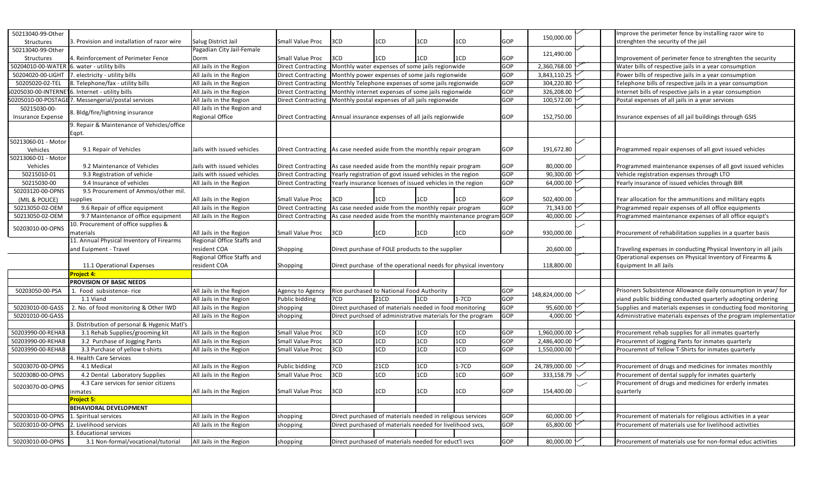| 50213040-99-Other        |                                                    |                             |                                                                         |                                                                      |             |                                                           |         |              |                                                           | Improve the perimeter fence by installing razor wire to          |
|--------------------------|----------------------------------------------------|-----------------------------|-------------------------------------------------------------------------|----------------------------------------------------------------------|-------------|-----------------------------------------------------------|---------|--------------|-----------------------------------------------------------|------------------------------------------------------------------|
| Structures               | 3. Provision and installation of razor wire        | Salug District Jail         | Small Value Proc                                                        | 3CD                                                                  | 1CD         | 1CD                                                       | 1CD     | GOP          | 150,000.00                                                | strenghten the security of the jail                              |
| 50213040-99-Other        |                                                    | Pagadian City Jail-Female   |                                                                         |                                                                      |             |                                                           |         |              |                                                           |                                                                  |
| Structures               | 4. Reinforcement of Perimeter Fence                | Dorm                        | Small Value Proc                                                        | 3CD                                                                  | 1CD         | 1CD                                                       | 1CD     | GOP          | 121,490.00                                                | Improvement of perimeter fence to strenghten the security        |
| 50204010-00-WATER        | 6. water - utility bills                           | All Jails in the Region     | <b>Direct Contracting</b>                                               | Monthly water expenses of some jails regionwide                      |             |                                                           | GOP     | 2,360,768.00 | Water bills of respective jails in a year consumption     |                                                                  |
| 50204020-00-LIGHT        | 7. electricity - utility bills                     | All Jails in the Region     | <b>Direct Contracting</b>                                               | Monthly power expenses of some jails regionwide                      |             |                                                           | GOP     | 3,843,110.25 | Power bills of respective jails in a year consumption     |                                                                  |
| 50205020-02-TEL          | 8. Telephone/fax - utility bills                   | All Jails in the Region     | Direct Contracting                                                      | Monthly Telephone expenses of some jails regionwide                  |             |                                                           | GOP     | 304,220.80   | Telephone bills of respective jails in a year consumption |                                                                  |
| 0205030-00-INTERNE       | 16. Internet - utility bills                       | All Jails in the Region     | <b>Direct Contracting</b>                                               | Monthly internet expenses of some jails regionwide                   |             |                                                           | GOP     | 326,208.00   | Internet bills of respective jails in a year consumption  |                                                                  |
|                          | 0205010-00-POSTAGE 7. Messengerial/postal services | All Jails in the Region     | Direct Contracting                                                      | Monthly postal expenses of all jails regionwide                      |             |                                                           | GOP     | 100,572.00   | Postal expenses of all jails in a year services           |                                                                  |
| 50215030-00-             |                                                    | All Jails in the Region and |                                                                         |                                                                      |             |                                                           |         |              |                                                           |                                                                  |
| <b>Insurance Expense</b> | 8. Bldg/fire/lightning insurance                   | Regional Office             |                                                                         | Direct Contracting Annual insurance expenses of all jails regionwide |             |                                                           | GOP     | 152,750.00   | nsurance expenses of all jail buildings through GSIS      |                                                                  |
|                          | 9. Repair & Maintenance of Vehicles/office         |                             |                                                                         |                                                                      |             |                                                           |         |              |                                                           |                                                                  |
|                          | Eqpt.                                              |                             |                                                                         |                                                                      |             |                                                           |         |              |                                                           |                                                                  |
| 50213060-01 - Motor      |                                                    |                             |                                                                         |                                                                      |             |                                                           |         |              |                                                           |                                                                  |
| Vehicles                 | 9.1 Repair of Vehicles                             | Jails with issued vehicles  | Direct Contracting As case needed aside from the monthly repair program |                                                                      |             |                                                           |         | GOP          | 191,672.80                                                | Programmed repair expenses of all govt issued vehicles           |
| 50213060-01 - Motor      |                                                    |                             |                                                                         |                                                                      |             |                                                           |         |              |                                                           |                                                                  |
| Vehicles                 | 9.2 Maintenance of Vehicles                        | Jails with issued vehicles  | Direct Contracting As case needed aside from the monthly repair program |                                                                      |             |                                                           |         | GOP          | 80,000.00                                                 | Programmed maintenance expenses of all govt issued vehicles      |
| 50215010-01              | 9.3 Registration of vehicle                        | Jails with issued vehicles  | <b>Direct Contracting</b>                                               | Yearly registration of govt issued vehicles in the region            |             |                                                           |         | GOP          | 90,300.00                                                 | Vehicle registration expenses through LTO                        |
| 50215030-00              | 9.4 Insurance of vehicles                          | All Jails in the Region     | <b>Direct Contracting</b>                                               | Yearly insurance licenses of issued vehicles in the region           |             |                                                           |         | GOP          | 64,000.00                                                 | Yearly insurance of issued vehicles through BIR                  |
| 50203120-00-OPNS         | 9.5 Procurement of Ammos/other mil.                |                             |                                                                         |                                                                      |             |                                                           |         |              |                                                           |                                                                  |
| (MIL & POLICE)           | upplies                                            | All Jails in the Region     | Small Value Proc                                                        | 3CD                                                                  | 1CD         | 1CD                                                       | 1CD     | GOP          | 502,400.00                                                | Year allocation for the ammunitions and military eqpts           |
| 50213050-02-OEM          | 9.6 Repair of office equipment                     | All Jails in the Region     | <b>Direct Contracting</b>                                               | As case needed aside from the monthly repair program                 |             |                                                           |         | GOP          | 71,343.00                                                 | Programmed repair expenses of all office equipments              |
| 50213050-02-OEM          | 9.7 Maintenance of office equipment                | All Jails in the Region     | <b>Direct Contracting</b>                                               |                                                                      |             | As case needed aside from the monthly maintenance program | GOP     | 40,000.00    | Programmed maintenance expenses of all office equipt's    |                                                                  |
|                          | 10. Procurement of office supplies &               |                             |                                                                         |                                                                      |             |                                                           |         |              |                                                           |                                                                  |
| 50203010-00-OPNS         | materials                                          | All Jails in the Region     | Small Value Proc                                                        | 3CD                                                                  | 1CD         | 1CD                                                       | 1CD     | GOP          | 930,000.00                                                | Procurement of rehabilitation supplies in a quarter basis        |
|                          | 11. Annual Physical Inventory of Firearms          | Regional Office Staffs and  |                                                                         |                                                                      |             |                                                           |         |              |                                                           |                                                                  |
|                          | and Euipment - Travel                              | resident COA                | Shopping                                                                | Direct purchase of FOLE products to the supplier                     |             |                                                           |         |              | 20,600.00                                                 | Traveling expenses in conducting Physical Inventory in all jails |
|                          |                                                    | Regional Office Staffs and  |                                                                         |                                                                      |             |                                                           |         |              |                                                           | Operational expenses on Physical Inventory of Firearms &         |
|                          | 11.1 Operational Expenses                          | esident COA                 | Shopping                                                                | Direct purchase of the operational needs for physical inventory      |             |                                                           |         | 118,800.00   | Equipment In all Jails                                    |                                                                  |
|                          | Project 4:                                         |                             |                                                                         |                                                                      |             |                                                           |         |              |                                                           |                                                                  |
|                          | PROVISION OF BASIC NEEDS                           |                             |                                                                         |                                                                      |             |                                                           |         |              |                                                           |                                                                  |
| 50203050-00-PSA          | 1. Food subsistence- rice                          | All Jails in the Region     | Agency to Agency                                                        | Rice purchased to National Food Authority                            |             |                                                           |         | GOP          | 148,824,000.00                                            | Prisoners Subsistence Allowance daily consumption in year/ for   |
|                          | 1.1 Viand                                          | All Jails in the Region     | Public bidding                                                          | 7CD                                                                  | <b>21CD</b> | 1CD                                                       | $1-7CD$ | GOP          |                                                           | viand public bidding conducted quarterly adopting ordering       |
| 50203010-00-GASS         | 2. No. of food monitoring & Other IWD              | All Jails in the Region     | shopping                                                                | Direct purchased of materials needed in food monitoring              |             |                                                           |         | GOP          | 95,600.00                                                 | Supplies and materials expenses in conducting food monitoring    |
| 50201010-00-GASS         |                                                    | All Jails in the Region     | shopping                                                                | Direct purchsed of administrative materials for the program          |             |                                                           |         | GOP          | 4,000.00                                                  | Administrative materials expenses of the program implementatior  |
|                          | 3. Distribution of personal & Hygenic Matl's       |                             |                                                                         |                                                                      |             |                                                           |         |              |                                                           |                                                                  |
| 50203990-00-REHAB        | 3.1 Rehab Supplies/grooming kit                    | All Jails in the Region     | Small Value Proc                                                        | 3CD                                                                  | 1CD         | 1CD                                                       | 1CD     | GOP          | 1,960,000.00                                              | Procurement rehab supplies for all inmates quarterly             |
| 50203990-00-REHAB        | 3.2 Purchase of Jogging Pants                      | All Jails in the Region     | Small Value Proc                                                        | 3CD                                                                  | 1CD         | 1CD                                                       | 1CD     | GOP          | 2,486,400.00                                              | Procuremnt of Jogging Pants for inmates quarterly                |
| 50203990-00-REHAB        | 3.3 Purchase of yellow t-shirts                    | All Jails in the Region     | Small Value Proc                                                        | 3CD                                                                  | 1CD         | 1CD                                                       | 1CD     | <b>GOP</b>   | 1,550,000.00                                              | Procuremnt of Yellow T-Shirts for inmates quarterly              |
|                          | . Health Care Services                             |                             |                                                                         |                                                                      |             |                                                           |         |              |                                                           |                                                                  |
| 50203070-00-OPNS         | 4.1 Medical                                        | All Jails in the Region     | Public bidding                                                          | 7CD                                                                  | 21CD        | 1CD                                                       | $1-7CD$ | GOP          | 24,789,000.00                                             | Procurement of drugs and medicines for inmates monthly           |
| 50203080-00-OPNS         | 4.2 Dental Laboratory Supplies                     | All Jails in the Region     | Small Value Proc                                                        | 3CD                                                                  | 1CD         | 1CD                                                       | 1CD     | GOP          | 333,158.79                                                | Procurement of dental supply for inmates quarterly               |
|                          | 4.3 Care services for senior citizens              |                             |                                                                         |                                                                      |             |                                                           |         |              |                                                           | Procurement of drugs and medicines for erderly inmates           |
| 50203070-00-OPNS         | inmates                                            | All Jails in the Region     | Small Value Proc                                                        | 3CD                                                                  | 1CD         | 1CD                                                       | 1CD     | GOP          | 154,400.00                                                | quarterly                                                        |
|                          | Project 5:                                         |                             |                                                                         |                                                                      |             |                                                           |         |              |                                                           |                                                                  |
|                          | <b>BEHAVIORAL DEVELOPMENT</b>                      |                             |                                                                         |                                                                      |             |                                                           |         |              |                                                           |                                                                  |
| 50203010-00-OPNS         | 1. Spiritual services                              | All Jails in the Region     | shopping                                                                | Direct purchased of materials needed in religious services           |             |                                                           |         | GOP          | 60,000.00                                                 | Procurement of materials for religious activities in a year      |
| 50203010-00-OPNS         | 2. Livelihood services                             | All Jails in the Region     | shopping                                                                | Direct purchased of materials needed for livelihood svcs,            |             |                                                           |         | GOP          | 65,800.00                                                 | Procurement of materials use for livelihood activities           |
|                          | 3. Educational services                            |                             |                                                                         |                                                                      |             |                                                           |         |              |                                                           |                                                                  |
| 50203010-00-OPNS         | 3.1 Non-formal/vocational/tutorial                 | All Jails in the Region     | shopping                                                                | Direct purchased of materials needed for educt'l svcs                |             |                                                           |         | GOP          | 80,000.00                                                 | Procurement of materials use for non-formal educ activities      |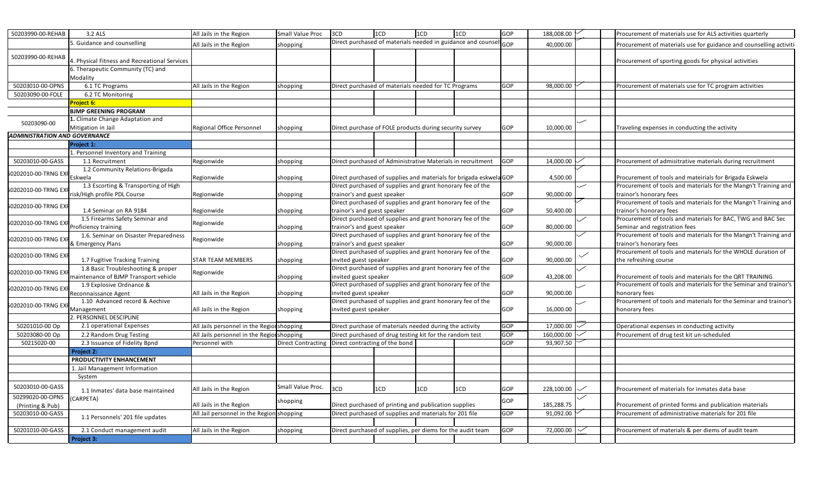| Direct purchased of materials needed in guidance and counse<br>5. Guidance and counselling<br>GOP<br>All Jails in the Region<br>40,000.00<br>shopping<br>50203990-00-REHAB<br>4. Physical Fitness and Recreational Services<br>Procurement of sporting goods for physical activities<br>6. Therapeutic Community (TC) and<br>Modality<br>50203010-00-OPNS<br>6.1 TC Programs<br>All Jails in the Region<br>Direct purchased of materials needed for TC Programs<br>98,000.00<br>GOP<br>Procurement of materials use for TC program activities<br>shopping<br>50203090-00-FOLE<br>6.2 TC Monitoring<br>Project 6:<br><b>BJMP GREENING PROGRAM</b><br>1. Climate Change Adaptation and<br>50203090-00<br>GOP<br>10,000.00<br>Mitigation in Jail<br>Regional Office Personnel<br>Direct purchase of FOLE products during security survey<br>Traveling expenses in conducting the activity<br>shopping<br>ADMINISTRATION AND GOVERNANCE<br>Project 1:<br>1. Personnel Inventory and Training<br>50203010-00-GASS<br>1.1 Recruitment<br>Direct purchased of Administrative Materials in recruitment<br>GOP<br>14,000.00<br>Regionwide<br>shopping<br>Procurement of admisitrative materials during recruitment<br>1.2 Community Relations-Brigada<br>60202010-00-TRNG EX<br>Direct purchased of supplies and materials for brigada eskwela GOP<br>4,500.00<br>Eskwela<br>Regionwide<br>Procurement of tools and mateirials for Brigada Eskwela<br>shopping<br>1.3 Escorting & Transporting of High<br>Direct purchased of supplies and grant honorary fee of the<br>Procurement of tools and materials for the Mangn't Training and<br>60202010-00-TRNG EX<br>risk/High profile PDL Course<br>rainor's and guest speaker<br>GOP<br>90,000.00<br>trainor's honorary fees<br>Regionwide<br>shopping<br>Direct purchased of supplies and grant honorary fee of the<br>Procurement of tools and materials for the Mangn't Training and<br>60202010-00-TRNG EX<br>1.4 Seminar on RA 9184<br>trainor's and guest speaker<br>GOP<br>50,400.00<br>trainor's honorary fees<br>Regionwide<br>shopping<br>Procurement of tools and materials for BAC, TWG and BAC Sec<br>1.5 Firearms Safety Seminar and<br>Direct purchased of supplies and grant honorary fee of the<br>60202010-00-TRNG EX<br>Regionwide<br>GOP<br>80,000.00<br>Proficiency training<br>rainor's and guest speaker.<br>Seminar and registration fees<br>shopping<br>Direct purchased of supplies and grant honorary fee of the<br>Procurement of tools and materials for the Mangn't Training and<br>1.6. Seminar on Disaster Preparedness<br>60202010-00-TRNG EX<br>Regionwide<br>GOP<br>90,000.00<br>trainor's honorary fees<br>& Emergency Plans<br>trainor's and guest speaker<br>shopping<br>Direct purchased of supplies and grant honorary fee of the<br>Procurement of tools and materials for the WHOLE duration of<br>60202010-00-TRNG EX<br>invited guest speaker<br>GOP<br>90,000.00<br>the refreshing course<br>1.7 Fugitive Tracking Training<br>STAR TEAM MEMBERS<br>shopping<br>Direct purchased of supplies and grant honorary fee of the<br>1.8 Basic Troubleshooting & proper<br>60202010-00-TRNG EX<br>Regionwide<br>maintenance of BJMP Transport vehicle<br>GOP<br>43,208.00<br>invited guest speaker<br>Procurement of tools and materials for the QRT TRAINING<br>shopping<br>Direct purchased of supplies and grant honorary fee of the<br>1.9 Explosive Ordnance &<br>Procurement of tools and materials for the Seminar and trainor's<br>60202010-00-TRNG EX<br>GOP<br>All Jails in the Region<br>invited guest speaker<br>90,000.00<br>honorary fees<br>Reconnaissance Agent<br>shopping<br>1.10 Advanced record & Aechive<br>Direct purchased of supplies and grant honorary fee of the<br>Procurement of tools and materials for the Seminar and trainor's<br>60202010-00-TRNG EX<br>GOP<br>16,000.00<br>All Jails in the Region<br>invited guest speaker<br>honorary fees<br>Management<br>shopping<br>2. PERSONNEL DESCIPLINE<br>2.1 operational Expenses<br>17,000.00<br>All Jails personnel in the Regior shopping<br>Direct purchase of materials needed during the activity<br>GOP<br>Operational expenses in conducting activity<br>50201010-00 Op<br>50203080-00 Op<br>All Jails personnel in the Regior shopping<br>Direct purchased of drug testing kit for the random test<br>GOP<br>160,000.00<br>Procurement of drug test kit un-scheduled<br>2.2 Random Drug Testing<br>50215020-00<br>2.3 Issuance of Fidelity Bpnd<br>GOP<br>93,907.50<br>Direct Contracting<br>Direct contracting of the bond<br>Personnel with<br>Project 2:<br>PRODUCTIVITY ENHANCEMENT<br>1. Jail Management Information<br>System<br>50203010-00-GASS<br>Small Value Proc.<br>3CD<br>1CD<br>1CD<br>GOP<br>228,100.00<br>All Jails in the Region<br>1CD<br>Procurement of materials for inmates data base<br>1.1 Inmates' data base maintained<br>50299020-00-OPNS<br>CARPETA)<br>GOP<br>shopping<br>Direct purchased of printing and publication supplies<br>185,288.75<br>Procurement of printed forms and publication materials<br>All Jails in the Region<br>(Printing & Pub)<br>Direct purchased of supplies and materials for 201 file<br>GOP<br>91,092.00<br>Procurement of administrative materials for 201 file<br>50203010-00-GASS<br>All Jail personnel in the Region shopping<br>1.1 Personnels' 201 file updates<br>Direct purchased of supplies, per diems for the audit team | 50203990-00-REHAB | 3.2 ALS                      | All Jails in the Region | Small Value Proc | 3CD | 1CD | 1CD | 1CD | GOP | 188,008.00 | Procurement of materials use for ALS activities quarterly           |
|------------------------------------------------------------------------------------------------------------------------------------------------------------------------------------------------------------------------------------------------------------------------------------------------------------------------------------------------------------------------------------------------------------------------------------------------------------------------------------------------------------------------------------------------------------------------------------------------------------------------------------------------------------------------------------------------------------------------------------------------------------------------------------------------------------------------------------------------------------------------------------------------------------------------------------------------------------------------------------------------------------------------------------------------------------------------------------------------------------------------------------------------------------------------------------------------------------------------------------------------------------------------------------------------------------------------------------------------------------------------------------------------------------------------------------------------------------------------------------------------------------------------------------------------------------------------------------------------------------------------------------------------------------------------------------------------------------------------------------------------------------------------------------------------------------------------------------------------------------------------------------------------------------------------------------------------------------------------------------------------------------------------------------------------------------------------------------------------------------------------------------------------------------------------------------------------------------------------------------------------------------------------------------------------------------------------------------------------------------------------------------------------------------------------------------------------------------------------------------------------------------------------------------------------------------------------------------------------------------------------------------------------------------------------------------------------------------------------------------------------------------------------------------------------------------------------------------------------------------------------------------------------------------------------------------------------------------------------------------------------------------------------------------------------------------------------------------------------------------------------------------------------------------------------------------------------------------------------------------------------------------------------------------------------------------------------------------------------------------------------------------------------------------------------------------------------------------------------------------------------------------------------------------------------------------------------------------------------------------------------------------------------------------------------------------------------------------------------------------------------------------------------------------------------------------------------------------------------------------------------------------------------------------------------------------------------------------------------------------------------------------------------------------------------------------------------------------------------------------------------------------------------------------------------------------------------------------------------------------------------------------------------------------------------------------------------------------------------------------------------------------------------------------------------------------------------------------------------------------------------------------------------------------------------------------------------------------------------------------------------------------------------------------------------------------------------------------------------------------------------------------------------------------------------------------------------------------------------------------------------------------------------------------------------------------------------------------------------------------------------------------------------------------------------------------------------------------------------------------------------------------------------------------------------------------------------------------------------------------------------------------------------------------------------------------------------------------------------------------------------------------------------------------------------------------------------------------------|-------------------|------------------------------|-------------------------|------------------|-----|-----|-----|-----|-----|------------|---------------------------------------------------------------------|
|                                                                                                                                                                                                                                                                                                                                                                                                                                                                                                                                                                                                                                                                                                                                                                                                                                                                                                                                                                                                                                                                                                                                                                                                                                                                                                                                                                                                                                                                                                                                                                                                                                                                                                                                                                                                                                                                                                                                                                                                                                                                                                                                                                                                                                                                                                                                                                                                                                                                                                                                                                                                                                                                                                                                                                                                                                                                                                                                                                                                                                                                                                                                                                                                                                                                                                                                                                                                                                                                                                                                                                                                                                                                                                                                                                                                                                                                                                                                                                                                                                                                                                                                                                                                                                                                                                                                                                                                                                                                                                                                                                                                                                                                                                                                                                                                                                                                                                                                                                                                                                                                                                                                                                                                                                                                                                                                                                                                                                                                  |                   |                              |                         |                  |     |     |     |     |     |            | Procurement of materials use for guidance and counselling activiti- |
|                                                                                                                                                                                                                                                                                                                                                                                                                                                                                                                                                                                                                                                                                                                                                                                                                                                                                                                                                                                                                                                                                                                                                                                                                                                                                                                                                                                                                                                                                                                                                                                                                                                                                                                                                                                                                                                                                                                                                                                                                                                                                                                                                                                                                                                                                                                                                                                                                                                                                                                                                                                                                                                                                                                                                                                                                                                                                                                                                                                                                                                                                                                                                                                                                                                                                                                                                                                                                                                                                                                                                                                                                                                                                                                                                                                                                                                                                                                                                                                                                                                                                                                                                                                                                                                                                                                                                                                                                                                                                                                                                                                                                                                                                                                                                                                                                                                                                                                                                                                                                                                                                                                                                                                                                                                                                                                                                                                                                                                                  |                   |                              |                         |                  |     |     |     |     |     |            |                                                                     |
|                                                                                                                                                                                                                                                                                                                                                                                                                                                                                                                                                                                                                                                                                                                                                                                                                                                                                                                                                                                                                                                                                                                                                                                                                                                                                                                                                                                                                                                                                                                                                                                                                                                                                                                                                                                                                                                                                                                                                                                                                                                                                                                                                                                                                                                                                                                                                                                                                                                                                                                                                                                                                                                                                                                                                                                                                                                                                                                                                                                                                                                                                                                                                                                                                                                                                                                                                                                                                                                                                                                                                                                                                                                                                                                                                                                                                                                                                                                                                                                                                                                                                                                                                                                                                                                                                                                                                                                                                                                                                                                                                                                                                                                                                                                                                                                                                                                                                                                                                                                                                                                                                                                                                                                                                                                                                                                                                                                                                                                                  |                   |                              |                         |                  |     |     |     |     |     |            |                                                                     |
|                                                                                                                                                                                                                                                                                                                                                                                                                                                                                                                                                                                                                                                                                                                                                                                                                                                                                                                                                                                                                                                                                                                                                                                                                                                                                                                                                                                                                                                                                                                                                                                                                                                                                                                                                                                                                                                                                                                                                                                                                                                                                                                                                                                                                                                                                                                                                                                                                                                                                                                                                                                                                                                                                                                                                                                                                                                                                                                                                                                                                                                                                                                                                                                                                                                                                                                                                                                                                                                                                                                                                                                                                                                                                                                                                                                                                                                                                                                                                                                                                                                                                                                                                                                                                                                                                                                                                                                                                                                                                                                                                                                                                                                                                                                                                                                                                                                                                                                                                                                                                                                                                                                                                                                                                                                                                                                                                                                                                                                                  |                   |                              |                         |                  |     |     |     |     |     |            |                                                                     |
|                                                                                                                                                                                                                                                                                                                                                                                                                                                                                                                                                                                                                                                                                                                                                                                                                                                                                                                                                                                                                                                                                                                                                                                                                                                                                                                                                                                                                                                                                                                                                                                                                                                                                                                                                                                                                                                                                                                                                                                                                                                                                                                                                                                                                                                                                                                                                                                                                                                                                                                                                                                                                                                                                                                                                                                                                                                                                                                                                                                                                                                                                                                                                                                                                                                                                                                                                                                                                                                                                                                                                                                                                                                                                                                                                                                                                                                                                                                                                                                                                                                                                                                                                                                                                                                                                                                                                                                                                                                                                                                                                                                                                                                                                                                                                                                                                                                                                                                                                                                                                                                                                                                                                                                                                                                                                                                                                                                                                                                                  |                   |                              |                         |                  |     |     |     |     |     |            |                                                                     |
|                                                                                                                                                                                                                                                                                                                                                                                                                                                                                                                                                                                                                                                                                                                                                                                                                                                                                                                                                                                                                                                                                                                                                                                                                                                                                                                                                                                                                                                                                                                                                                                                                                                                                                                                                                                                                                                                                                                                                                                                                                                                                                                                                                                                                                                                                                                                                                                                                                                                                                                                                                                                                                                                                                                                                                                                                                                                                                                                                                                                                                                                                                                                                                                                                                                                                                                                                                                                                                                                                                                                                                                                                                                                                                                                                                                                                                                                                                                                                                                                                                                                                                                                                                                                                                                                                                                                                                                                                                                                                                                                                                                                                                                                                                                                                                                                                                                                                                                                                                                                                                                                                                                                                                                                                                                                                                                                                                                                                                                                  |                   |                              |                         |                  |     |     |     |     |     |            |                                                                     |
|                                                                                                                                                                                                                                                                                                                                                                                                                                                                                                                                                                                                                                                                                                                                                                                                                                                                                                                                                                                                                                                                                                                                                                                                                                                                                                                                                                                                                                                                                                                                                                                                                                                                                                                                                                                                                                                                                                                                                                                                                                                                                                                                                                                                                                                                                                                                                                                                                                                                                                                                                                                                                                                                                                                                                                                                                                                                                                                                                                                                                                                                                                                                                                                                                                                                                                                                                                                                                                                                                                                                                                                                                                                                                                                                                                                                                                                                                                                                                                                                                                                                                                                                                                                                                                                                                                                                                                                                                                                                                                                                                                                                                                                                                                                                                                                                                                                                                                                                                                                                                                                                                                                                                                                                                                                                                                                                                                                                                                                                  |                   |                              |                         |                  |     |     |     |     |     |            |                                                                     |
|                                                                                                                                                                                                                                                                                                                                                                                                                                                                                                                                                                                                                                                                                                                                                                                                                                                                                                                                                                                                                                                                                                                                                                                                                                                                                                                                                                                                                                                                                                                                                                                                                                                                                                                                                                                                                                                                                                                                                                                                                                                                                                                                                                                                                                                                                                                                                                                                                                                                                                                                                                                                                                                                                                                                                                                                                                                                                                                                                                                                                                                                                                                                                                                                                                                                                                                                                                                                                                                                                                                                                                                                                                                                                                                                                                                                                                                                                                                                                                                                                                                                                                                                                                                                                                                                                                                                                                                                                                                                                                                                                                                                                                                                                                                                                                                                                                                                                                                                                                                                                                                                                                                                                                                                                                                                                                                                                                                                                                                                  |                   |                              |                         |                  |     |     |     |     |     |            |                                                                     |
|                                                                                                                                                                                                                                                                                                                                                                                                                                                                                                                                                                                                                                                                                                                                                                                                                                                                                                                                                                                                                                                                                                                                                                                                                                                                                                                                                                                                                                                                                                                                                                                                                                                                                                                                                                                                                                                                                                                                                                                                                                                                                                                                                                                                                                                                                                                                                                                                                                                                                                                                                                                                                                                                                                                                                                                                                                                                                                                                                                                                                                                                                                                                                                                                                                                                                                                                                                                                                                                                                                                                                                                                                                                                                                                                                                                                                                                                                                                                                                                                                                                                                                                                                                                                                                                                                                                                                                                                                                                                                                                                                                                                                                                                                                                                                                                                                                                                                                                                                                                                                                                                                                                                                                                                                                                                                                                                                                                                                                                                  |                   |                              |                         |                  |     |     |     |     |     |            |                                                                     |
|                                                                                                                                                                                                                                                                                                                                                                                                                                                                                                                                                                                                                                                                                                                                                                                                                                                                                                                                                                                                                                                                                                                                                                                                                                                                                                                                                                                                                                                                                                                                                                                                                                                                                                                                                                                                                                                                                                                                                                                                                                                                                                                                                                                                                                                                                                                                                                                                                                                                                                                                                                                                                                                                                                                                                                                                                                                                                                                                                                                                                                                                                                                                                                                                                                                                                                                                                                                                                                                                                                                                                                                                                                                                                                                                                                                                                                                                                                                                                                                                                                                                                                                                                                                                                                                                                                                                                                                                                                                                                                                                                                                                                                                                                                                                                                                                                                                                                                                                                                                                                                                                                                                                                                                                                                                                                                                                                                                                                                                                  |                   |                              |                         |                  |     |     |     |     |     |            |                                                                     |
|                                                                                                                                                                                                                                                                                                                                                                                                                                                                                                                                                                                                                                                                                                                                                                                                                                                                                                                                                                                                                                                                                                                                                                                                                                                                                                                                                                                                                                                                                                                                                                                                                                                                                                                                                                                                                                                                                                                                                                                                                                                                                                                                                                                                                                                                                                                                                                                                                                                                                                                                                                                                                                                                                                                                                                                                                                                                                                                                                                                                                                                                                                                                                                                                                                                                                                                                                                                                                                                                                                                                                                                                                                                                                                                                                                                                                                                                                                                                                                                                                                                                                                                                                                                                                                                                                                                                                                                                                                                                                                                                                                                                                                                                                                                                                                                                                                                                                                                                                                                                                                                                                                                                                                                                                                                                                                                                                                                                                                                                  |                   |                              |                         |                  |     |     |     |     |     |            |                                                                     |
|                                                                                                                                                                                                                                                                                                                                                                                                                                                                                                                                                                                                                                                                                                                                                                                                                                                                                                                                                                                                                                                                                                                                                                                                                                                                                                                                                                                                                                                                                                                                                                                                                                                                                                                                                                                                                                                                                                                                                                                                                                                                                                                                                                                                                                                                                                                                                                                                                                                                                                                                                                                                                                                                                                                                                                                                                                                                                                                                                                                                                                                                                                                                                                                                                                                                                                                                                                                                                                                                                                                                                                                                                                                                                                                                                                                                                                                                                                                                                                                                                                                                                                                                                                                                                                                                                                                                                                                                                                                                                                                                                                                                                                                                                                                                                                                                                                                                                                                                                                                                                                                                                                                                                                                                                                                                                                                                                                                                                                                                  |                   |                              |                         |                  |     |     |     |     |     |            |                                                                     |
|                                                                                                                                                                                                                                                                                                                                                                                                                                                                                                                                                                                                                                                                                                                                                                                                                                                                                                                                                                                                                                                                                                                                                                                                                                                                                                                                                                                                                                                                                                                                                                                                                                                                                                                                                                                                                                                                                                                                                                                                                                                                                                                                                                                                                                                                                                                                                                                                                                                                                                                                                                                                                                                                                                                                                                                                                                                                                                                                                                                                                                                                                                                                                                                                                                                                                                                                                                                                                                                                                                                                                                                                                                                                                                                                                                                                                                                                                                                                                                                                                                                                                                                                                                                                                                                                                                                                                                                                                                                                                                                                                                                                                                                                                                                                                                                                                                                                                                                                                                                                                                                                                                                                                                                                                                                                                                                                                                                                                                                                  |                   |                              |                         |                  |     |     |     |     |     |            |                                                                     |
|                                                                                                                                                                                                                                                                                                                                                                                                                                                                                                                                                                                                                                                                                                                                                                                                                                                                                                                                                                                                                                                                                                                                                                                                                                                                                                                                                                                                                                                                                                                                                                                                                                                                                                                                                                                                                                                                                                                                                                                                                                                                                                                                                                                                                                                                                                                                                                                                                                                                                                                                                                                                                                                                                                                                                                                                                                                                                                                                                                                                                                                                                                                                                                                                                                                                                                                                                                                                                                                                                                                                                                                                                                                                                                                                                                                                                                                                                                                                                                                                                                                                                                                                                                                                                                                                                                                                                                                                                                                                                                                                                                                                                                                                                                                                                                                                                                                                                                                                                                                                                                                                                                                                                                                                                                                                                                                                                                                                                                                                  |                   |                              |                         |                  |     |     |     |     |     |            |                                                                     |
|                                                                                                                                                                                                                                                                                                                                                                                                                                                                                                                                                                                                                                                                                                                                                                                                                                                                                                                                                                                                                                                                                                                                                                                                                                                                                                                                                                                                                                                                                                                                                                                                                                                                                                                                                                                                                                                                                                                                                                                                                                                                                                                                                                                                                                                                                                                                                                                                                                                                                                                                                                                                                                                                                                                                                                                                                                                                                                                                                                                                                                                                                                                                                                                                                                                                                                                                                                                                                                                                                                                                                                                                                                                                                                                                                                                                                                                                                                                                                                                                                                                                                                                                                                                                                                                                                                                                                                                                                                                                                                                                                                                                                                                                                                                                                                                                                                                                                                                                                                                                                                                                                                                                                                                                                                                                                                                                                                                                                                                                  |                   |                              |                         |                  |     |     |     |     |     |            |                                                                     |
|                                                                                                                                                                                                                                                                                                                                                                                                                                                                                                                                                                                                                                                                                                                                                                                                                                                                                                                                                                                                                                                                                                                                                                                                                                                                                                                                                                                                                                                                                                                                                                                                                                                                                                                                                                                                                                                                                                                                                                                                                                                                                                                                                                                                                                                                                                                                                                                                                                                                                                                                                                                                                                                                                                                                                                                                                                                                                                                                                                                                                                                                                                                                                                                                                                                                                                                                                                                                                                                                                                                                                                                                                                                                                                                                                                                                                                                                                                                                                                                                                                                                                                                                                                                                                                                                                                                                                                                                                                                                                                                                                                                                                                                                                                                                                                                                                                                                                                                                                                                                                                                                                                                                                                                                                                                                                                                                                                                                                                                                  |                   |                              |                         |                  |     |     |     |     |     |            |                                                                     |
|                                                                                                                                                                                                                                                                                                                                                                                                                                                                                                                                                                                                                                                                                                                                                                                                                                                                                                                                                                                                                                                                                                                                                                                                                                                                                                                                                                                                                                                                                                                                                                                                                                                                                                                                                                                                                                                                                                                                                                                                                                                                                                                                                                                                                                                                                                                                                                                                                                                                                                                                                                                                                                                                                                                                                                                                                                                                                                                                                                                                                                                                                                                                                                                                                                                                                                                                                                                                                                                                                                                                                                                                                                                                                                                                                                                                                                                                                                                                                                                                                                                                                                                                                                                                                                                                                                                                                                                                                                                                                                                                                                                                                                                                                                                                                                                                                                                                                                                                                                                                                                                                                                                                                                                                                                                                                                                                                                                                                                                                  |                   |                              |                         |                  |     |     |     |     |     |            |                                                                     |
|                                                                                                                                                                                                                                                                                                                                                                                                                                                                                                                                                                                                                                                                                                                                                                                                                                                                                                                                                                                                                                                                                                                                                                                                                                                                                                                                                                                                                                                                                                                                                                                                                                                                                                                                                                                                                                                                                                                                                                                                                                                                                                                                                                                                                                                                                                                                                                                                                                                                                                                                                                                                                                                                                                                                                                                                                                                                                                                                                                                                                                                                                                                                                                                                                                                                                                                                                                                                                                                                                                                                                                                                                                                                                                                                                                                                                                                                                                                                                                                                                                                                                                                                                                                                                                                                                                                                                                                                                                                                                                                                                                                                                                                                                                                                                                                                                                                                                                                                                                                                                                                                                                                                                                                                                                                                                                                                                                                                                                                                  |                   |                              |                         |                  |     |     |     |     |     |            |                                                                     |
|                                                                                                                                                                                                                                                                                                                                                                                                                                                                                                                                                                                                                                                                                                                                                                                                                                                                                                                                                                                                                                                                                                                                                                                                                                                                                                                                                                                                                                                                                                                                                                                                                                                                                                                                                                                                                                                                                                                                                                                                                                                                                                                                                                                                                                                                                                                                                                                                                                                                                                                                                                                                                                                                                                                                                                                                                                                                                                                                                                                                                                                                                                                                                                                                                                                                                                                                                                                                                                                                                                                                                                                                                                                                                                                                                                                                                                                                                                                                                                                                                                                                                                                                                                                                                                                                                                                                                                                                                                                                                                                                                                                                                                                                                                                                                                                                                                                                                                                                                                                                                                                                                                                                                                                                                                                                                                                                                                                                                                                                  |                   |                              |                         |                  |     |     |     |     |     |            |                                                                     |
|                                                                                                                                                                                                                                                                                                                                                                                                                                                                                                                                                                                                                                                                                                                                                                                                                                                                                                                                                                                                                                                                                                                                                                                                                                                                                                                                                                                                                                                                                                                                                                                                                                                                                                                                                                                                                                                                                                                                                                                                                                                                                                                                                                                                                                                                                                                                                                                                                                                                                                                                                                                                                                                                                                                                                                                                                                                                                                                                                                                                                                                                                                                                                                                                                                                                                                                                                                                                                                                                                                                                                                                                                                                                                                                                                                                                                                                                                                                                                                                                                                                                                                                                                                                                                                                                                                                                                                                                                                                                                                                                                                                                                                                                                                                                                                                                                                                                                                                                                                                                                                                                                                                                                                                                                                                                                                                                                                                                                                                                  |                   |                              |                         |                  |     |     |     |     |     |            |                                                                     |
|                                                                                                                                                                                                                                                                                                                                                                                                                                                                                                                                                                                                                                                                                                                                                                                                                                                                                                                                                                                                                                                                                                                                                                                                                                                                                                                                                                                                                                                                                                                                                                                                                                                                                                                                                                                                                                                                                                                                                                                                                                                                                                                                                                                                                                                                                                                                                                                                                                                                                                                                                                                                                                                                                                                                                                                                                                                                                                                                                                                                                                                                                                                                                                                                                                                                                                                                                                                                                                                                                                                                                                                                                                                                                                                                                                                                                                                                                                                                                                                                                                                                                                                                                                                                                                                                                                                                                                                                                                                                                                                                                                                                                                                                                                                                                                                                                                                                                                                                                                                                                                                                                                                                                                                                                                                                                                                                                                                                                                                                  |                   |                              |                         |                  |     |     |     |     |     |            |                                                                     |
|                                                                                                                                                                                                                                                                                                                                                                                                                                                                                                                                                                                                                                                                                                                                                                                                                                                                                                                                                                                                                                                                                                                                                                                                                                                                                                                                                                                                                                                                                                                                                                                                                                                                                                                                                                                                                                                                                                                                                                                                                                                                                                                                                                                                                                                                                                                                                                                                                                                                                                                                                                                                                                                                                                                                                                                                                                                                                                                                                                                                                                                                                                                                                                                                                                                                                                                                                                                                                                                                                                                                                                                                                                                                                                                                                                                                                                                                                                                                                                                                                                                                                                                                                                                                                                                                                                                                                                                                                                                                                                                                                                                                                                                                                                                                                                                                                                                                                                                                                                                                                                                                                                                                                                                                                                                                                                                                                                                                                                                                  |                   |                              |                         |                  |     |     |     |     |     |            |                                                                     |
|                                                                                                                                                                                                                                                                                                                                                                                                                                                                                                                                                                                                                                                                                                                                                                                                                                                                                                                                                                                                                                                                                                                                                                                                                                                                                                                                                                                                                                                                                                                                                                                                                                                                                                                                                                                                                                                                                                                                                                                                                                                                                                                                                                                                                                                                                                                                                                                                                                                                                                                                                                                                                                                                                                                                                                                                                                                                                                                                                                                                                                                                                                                                                                                                                                                                                                                                                                                                                                                                                                                                                                                                                                                                                                                                                                                                                                                                                                                                                                                                                                                                                                                                                                                                                                                                                                                                                                                                                                                                                                                                                                                                                                                                                                                                                                                                                                                                                                                                                                                                                                                                                                                                                                                                                                                                                                                                                                                                                                                                  |                   |                              |                         |                  |     |     |     |     |     |            |                                                                     |
|                                                                                                                                                                                                                                                                                                                                                                                                                                                                                                                                                                                                                                                                                                                                                                                                                                                                                                                                                                                                                                                                                                                                                                                                                                                                                                                                                                                                                                                                                                                                                                                                                                                                                                                                                                                                                                                                                                                                                                                                                                                                                                                                                                                                                                                                                                                                                                                                                                                                                                                                                                                                                                                                                                                                                                                                                                                                                                                                                                                                                                                                                                                                                                                                                                                                                                                                                                                                                                                                                                                                                                                                                                                                                                                                                                                                                                                                                                                                                                                                                                                                                                                                                                                                                                                                                                                                                                                                                                                                                                                                                                                                                                                                                                                                                                                                                                                                                                                                                                                                                                                                                                                                                                                                                                                                                                                                                                                                                                                                  |                   |                              |                         |                  |     |     |     |     |     |            |                                                                     |
|                                                                                                                                                                                                                                                                                                                                                                                                                                                                                                                                                                                                                                                                                                                                                                                                                                                                                                                                                                                                                                                                                                                                                                                                                                                                                                                                                                                                                                                                                                                                                                                                                                                                                                                                                                                                                                                                                                                                                                                                                                                                                                                                                                                                                                                                                                                                                                                                                                                                                                                                                                                                                                                                                                                                                                                                                                                                                                                                                                                                                                                                                                                                                                                                                                                                                                                                                                                                                                                                                                                                                                                                                                                                                                                                                                                                                                                                                                                                                                                                                                                                                                                                                                                                                                                                                                                                                                                                                                                                                                                                                                                                                                                                                                                                                                                                                                                                                                                                                                                                                                                                                                                                                                                                                                                                                                                                                                                                                                                                  |                   |                              |                         |                  |     |     |     |     |     |            |                                                                     |
|                                                                                                                                                                                                                                                                                                                                                                                                                                                                                                                                                                                                                                                                                                                                                                                                                                                                                                                                                                                                                                                                                                                                                                                                                                                                                                                                                                                                                                                                                                                                                                                                                                                                                                                                                                                                                                                                                                                                                                                                                                                                                                                                                                                                                                                                                                                                                                                                                                                                                                                                                                                                                                                                                                                                                                                                                                                                                                                                                                                                                                                                                                                                                                                                                                                                                                                                                                                                                                                                                                                                                                                                                                                                                                                                                                                                                                                                                                                                                                                                                                                                                                                                                                                                                                                                                                                                                                                                                                                                                                                                                                                                                                                                                                                                                                                                                                                                                                                                                                                                                                                                                                                                                                                                                                                                                                                                                                                                                                                                  |                   |                              |                         |                  |     |     |     |     |     |            |                                                                     |
|                                                                                                                                                                                                                                                                                                                                                                                                                                                                                                                                                                                                                                                                                                                                                                                                                                                                                                                                                                                                                                                                                                                                                                                                                                                                                                                                                                                                                                                                                                                                                                                                                                                                                                                                                                                                                                                                                                                                                                                                                                                                                                                                                                                                                                                                                                                                                                                                                                                                                                                                                                                                                                                                                                                                                                                                                                                                                                                                                                                                                                                                                                                                                                                                                                                                                                                                                                                                                                                                                                                                                                                                                                                                                                                                                                                                                                                                                                                                                                                                                                                                                                                                                                                                                                                                                                                                                                                                                                                                                                                                                                                                                                                                                                                                                                                                                                                                                                                                                                                                                                                                                                                                                                                                                                                                                                                                                                                                                                                                  |                   |                              |                         |                  |     |     |     |     |     |            |                                                                     |
|                                                                                                                                                                                                                                                                                                                                                                                                                                                                                                                                                                                                                                                                                                                                                                                                                                                                                                                                                                                                                                                                                                                                                                                                                                                                                                                                                                                                                                                                                                                                                                                                                                                                                                                                                                                                                                                                                                                                                                                                                                                                                                                                                                                                                                                                                                                                                                                                                                                                                                                                                                                                                                                                                                                                                                                                                                                                                                                                                                                                                                                                                                                                                                                                                                                                                                                                                                                                                                                                                                                                                                                                                                                                                                                                                                                                                                                                                                                                                                                                                                                                                                                                                                                                                                                                                                                                                                                                                                                                                                                                                                                                                                                                                                                                                                                                                                                                                                                                                                                                                                                                                                                                                                                                                                                                                                                                                                                                                                                                  |                   |                              |                         |                  |     |     |     |     |     |            |                                                                     |
|                                                                                                                                                                                                                                                                                                                                                                                                                                                                                                                                                                                                                                                                                                                                                                                                                                                                                                                                                                                                                                                                                                                                                                                                                                                                                                                                                                                                                                                                                                                                                                                                                                                                                                                                                                                                                                                                                                                                                                                                                                                                                                                                                                                                                                                                                                                                                                                                                                                                                                                                                                                                                                                                                                                                                                                                                                                                                                                                                                                                                                                                                                                                                                                                                                                                                                                                                                                                                                                                                                                                                                                                                                                                                                                                                                                                                                                                                                                                                                                                                                                                                                                                                                                                                                                                                                                                                                                                                                                                                                                                                                                                                                                                                                                                                                                                                                                                                                                                                                                                                                                                                                                                                                                                                                                                                                                                                                                                                                                                  |                   |                              |                         |                  |     |     |     |     |     |            |                                                                     |
|                                                                                                                                                                                                                                                                                                                                                                                                                                                                                                                                                                                                                                                                                                                                                                                                                                                                                                                                                                                                                                                                                                                                                                                                                                                                                                                                                                                                                                                                                                                                                                                                                                                                                                                                                                                                                                                                                                                                                                                                                                                                                                                                                                                                                                                                                                                                                                                                                                                                                                                                                                                                                                                                                                                                                                                                                                                                                                                                                                                                                                                                                                                                                                                                                                                                                                                                                                                                                                                                                                                                                                                                                                                                                                                                                                                                                                                                                                                                                                                                                                                                                                                                                                                                                                                                                                                                                                                                                                                                                                                                                                                                                                                                                                                                                                                                                                                                                                                                                                                                                                                                                                                                                                                                                                                                                                                                                                                                                                                                  |                   |                              |                         |                  |     |     |     |     |     |            |                                                                     |
|                                                                                                                                                                                                                                                                                                                                                                                                                                                                                                                                                                                                                                                                                                                                                                                                                                                                                                                                                                                                                                                                                                                                                                                                                                                                                                                                                                                                                                                                                                                                                                                                                                                                                                                                                                                                                                                                                                                                                                                                                                                                                                                                                                                                                                                                                                                                                                                                                                                                                                                                                                                                                                                                                                                                                                                                                                                                                                                                                                                                                                                                                                                                                                                                                                                                                                                                                                                                                                                                                                                                                                                                                                                                                                                                                                                                                                                                                                                                                                                                                                                                                                                                                                                                                                                                                                                                                                                                                                                                                                                                                                                                                                                                                                                                                                                                                                                                                                                                                                                                                                                                                                                                                                                                                                                                                                                                                                                                                                                                  |                   |                              |                         |                  |     |     |     |     |     |            |                                                                     |
|                                                                                                                                                                                                                                                                                                                                                                                                                                                                                                                                                                                                                                                                                                                                                                                                                                                                                                                                                                                                                                                                                                                                                                                                                                                                                                                                                                                                                                                                                                                                                                                                                                                                                                                                                                                                                                                                                                                                                                                                                                                                                                                                                                                                                                                                                                                                                                                                                                                                                                                                                                                                                                                                                                                                                                                                                                                                                                                                                                                                                                                                                                                                                                                                                                                                                                                                                                                                                                                                                                                                                                                                                                                                                                                                                                                                                                                                                                                                                                                                                                                                                                                                                                                                                                                                                                                                                                                                                                                                                                                                                                                                                                                                                                                                                                                                                                                                                                                                                                                                                                                                                                                                                                                                                                                                                                                                                                                                                                                                  |                   |                              |                         |                  |     |     |     |     |     |            |                                                                     |
|                                                                                                                                                                                                                                                                                                                                                                                                                                                                                                                                                                                                                                                                                                                                                                                                                                                                                                                                                                                                                                                                                                                                                                                                                                                                                                                                                                                                                                                                                                                                                                                                                                                                                                                                                                                                                                                                                                                                                                                                                                                                                                                                                                                                                                                                                                                                                                                                                                                                                                                                                                                                                                                                                                                                                                                                                                                                                                                                                                                                                                                                                                                                                                                                                                                                                                                                                                                                                                                                                                                                                                                                                                                                                                                                                                                                                                                                                                                                                                                                                                                                                                                                                                                                                                                                                                                                                                                                                                                                                                                                                                                                                                                                                                                                                                                                                                                                                                                                                                                                                                                                                                                                                                                                                                                                                                                                                                                                                                                                  |                   |                              |                         |                  |     |     |     |     |     |            |                                                                     |
|                                                                                                                                                                                                                                                                                                                                                                                                                                                                                                                                                                                                                                                                                                                                                                                                                                                                                                                                                                                                                                                                                                                                                                                                                                                                                                                                                                                                                                                                                                                                                                                                                                                                                                                                                                                                                                                                                                                                                                                                                                                                                                                                                                                                                                                                                                                                                                                                                                                                                                                                                                                                                                                                                                                                                                                                                                                                                                                                                                                                                                                                                                                                                                                                                                                                                                                                                                                                                                                                                                                                                                                                                                                                                                                                                                                                                                                                                                                                                                                                                                                                                                                                                                                                                                                                                                                                                                                                                                                                                                                                                                                                                                                                                                                                                                                                                                                                                                                                                                                                                                                                                                                                                                                                                                                                                                                                                                                                                                                                  |                   |                              |                         |                  |     |     |     |     |     |            |                                                                     |
|                                                                                                                                                                                                                                                                                                                                                                                                                                                                                                                                                                                                                                                                                                                                                                                                                                                                                                                                                                                                                                                                                                                                                                                                                                                                                                                                                                                                                                                                                                                                                                                                                                                                                                                                                                                                                                                                                                                                                                                                                                                                                                                                                                                                                                                                                                                                                                                                                                                                                                                                                                                                                                                                                                                                                                                                                                                                                                                                                                                                                                                                                                                                                                                                                                                                                                                                                                                                                                                                                                                                                                                                                                                                                                                                                                                                                                                                                                                                                                                                                                                                                                                                                                                                                                                                                                                                                                                                                                                                                                                                                                                                                                                                                                                                                                                                                                                                                                                                                                                                                                                                                                                                                                                                                                                                                                                                                                                                                                                                  |                   |                              |                         |                  |     |     |     |     |     |            |                                                                     |
|                                                                                                                                                                                                                                                                                                                                                                                                                                                                                                                                                                                                                                                                                                                                                                                                                                                                                                                                                                                                                                                                                                                                                                                                                                                                                                                                                                                                                                                                                                                                                                                                                                                                                                                                                                                                                                                                                                                                                                                                                                                                                                                                                                                                                                                                                                                                                                                                                                                                                                                                                                                                                                                                                                                                                                                                                                                                                                                                                                                                                                                                                                                                                                                                                                                                                                                                                                                                                                                                                                                                                                                                                                                                                                                                                                                                                                                                                                                                                                                                                                                                                                                                                                                                                                                                                                                                                                                                                                                                                                                                                                                                                                                                                                                                                                                                                                                                                                                                                                                                                                                                                                                                                                                                                                                                                                                                                                                                                                                                  |                   |                              |                         |                  |     |     |     |     |     |            |                                                                     |
|                                                                                                                                                                                                                                                                                                                                                                                                                                                                                                                                                                                                                                                                                                                                                                                                                                                                                                                                                                                                                                                                                                                                                                                                                                                                                                                                                                                                                                                                                                                                                                                                                                                                                                                                                                                                                                                                                                                                                                                                                                                                                                                                                                                                                                                                                                                                                                                                                                                                                                                                                                                                                                                                                                                                                                                                                                                                                                                                                                                                                                                                                                                                                                                                                                                                                                                                                                                                                                                                                                                                                                                                                                                                                                                                                                                                                                                                                                                                                                                                                                                                                                                                                                                                                                                                                                                                                                                                                                                                                                                                                                                                                                                                                                                                                                                                                                                                                                                                                                                                                                                                                                                                                                                                                                                                                                                                                                                                                                                                  |                   |                              |                         |                  |     |     |     |     |     |            |                                                                     |
|                                                                                                                                                                                                                                                                                                                                                                                                                                                                                                                                                                                                                                                                                                                                                                                                                                                                                                                                                                                                                                                                                                                                                                                                                                                                                                                                                                                                                                                                                                                                                                                                                                                                                                                                                                                                                                                                                                                                                                                                                                                                                                                                                                                                                                                                                                                                                                                                                                                                                                                                                                                                                                                                                                                                                                                                                                                                                                                                                                                                                                                                                                                                                                                                                                                                                                                                                                                                                                                                                                                                                                                                                                                                                                                                                                                                                                                                                                                                                                                                                                                                                                                                                                                                                                                                                                                                                                                                                                                                                                                                                                                                                                                                                                                                                                                                                                                                                                                                                                                                                                                                                                                                                                                                                                                                                                                                                                                                                                                                  |                   |                              |                         |                  |     |     |     |     |     |            |                                                                     |
|                                                                                                                                                                                                                                                                                                                                                                                                                                                                                                                                                                                                                                                                                                                                                                                                                                                                                                                                                                                                                                                                                                                                                                                                                                                                                                                                                                                                                                                                                                                                                                                                                                                                                                                                                                                                                                                                                                                                                                                                                                                                                                                                                                                                                                                                                                                                                                                                                                                                                                                                                                                                                                                                                                                                                                                                                                                                                                                                                                                                                                                                                                                                                                                                                                                                                                                                                                                                                                                                                                                                                                                                                                                                                                                                                                                                                                                                                                                                                                                                                                                                                                                                                                                                                                                                                                                                                                                                                                                                                                                                                                                                                                                                                                                                                                                                                                                                                                                                                                                                                                                                                                                                                                                                                                                                                                                                                                                                                                                                  |                   |                              |                         |                  |     |     |     |     |     |            |                                                                     |
|                                                                                                                                                                                                                                                                                                                                                                                                                                                                                                                                                                                                                                                                                                                                                                                                                                                                                                                                                                                                                                                                                                                                                                                                                                                                                                                                                                                                                                                                                                                                                                                                                                                                                                                                                                                                                                                                                                                                                                                                                                                                                                                                                                                                                                                                                                                                                                                                                                                                                                                                                                                                                                                                                                                                                                                                                                                                                                                                                                                                                                                                                                                                                                                                                                                                                                                                                                                                                                                                                                                                                                                                                                                                                                                                                                                                                                                                                                                                                                                                                                                                                                                                                                                                                                                                                                                                                                                                                                                                                                                                                                                                                                                                                                                                                                                                                                                                                                                                                                                                                                                                                                                                                                                                                                                                                                                                                                                                                                                                  |                   |                              |                         |                  |     |     |     |     |     |            |                                                                     |
|                                                                                                                                                                                                                                                                                                                                                                                                                                                                                                                                                                                                                                                                                                                                                                                                                                                                                                                                                                                                                                                                                                                                                                                                                                                                                                                                                                                                                                                                                                                                                                                                                                                                                                                                                                                                                                                                                                                                                                                                                                                                                                                                                                                                                                                                                                                                                                                                                                                                                                                                                                                                                                                                                                                                                                                                                                                                                                                                                                                                                                                                                                                                                                                                                                                                                                                                                                                                                                                                                                                                                                                                                                                                                                                                                                                                                                                                                                                                                                                                                                                                                                                                                                                                                                                                                                                                                                                                                                                                                                                                                                                                                                                                                                                                                                                                                                                                                                                                                                                                                                                                                                                                                                                                                                                                                                                                                                                                                                                                  |                   |                              |                         |                  |     |     |     |     |     |            |                                                                     |
|                                                                                                                                                                                                                                                                                                                                                                                                                                                                                                                                                                                                                                                                                                                                                                                                                                                                                                                                                                                                                                                                                                                                                                                                                                                                                                                                                                                                                                                                                                                                                                                                                                                                                                                                                                                                                                                                                                                                                                                                                                                                                                                                                                                                                                                                                                                                                                                                                                                                                                                                                                                                                                                                                                                                                                                                                                                                                                                                                                                                                                                                                                                                                                                                                                                                                                                                                                                                                                                                                                                                                                                                                                                                                                                                                                                                                                                                                                                                                                                                                                                                                                                                                                                                                                                                                                                                                                                                                                                                                                                                                                                                                                                                                                                                                                                                                                                                                                                                                                                                                                                                                                                                                                                                                                                                                                                                                                                                                                                                  |                   |                              |                         |                  |     |     |     |     |     |            |                                                                     |
|                                                                                                                                                                                                                                                                                                                                                                                                                                                                                                                                                                                                                                                                                                                                                                                                                                                                                                                                                                                                                                                                                                                                                                                                                                                                                                                                                                                                                                                                                                                                                                                                                                                                                                                                                                                                                                                                                                                                                                                                                                                                                                                                                                                                                                                                                                                                                                                                                                                                                                                                                                                                                                                                                                                                                                                                                                                                                                                                                                                                                                                                                                                                                                                                                                                                                                                                                                                                                                                                                                                                                                                                                                                                                                                                                                                                                                                                                                                                                                                                                                                                                                                                                                                                                                                                                                                                                                                                                                                                                                                                                                                                                                                                                                                                                                                                                                                                                                                                                                                                                                                                                                                                                                                                                                                                                                                                                                                                                                                                  |                   |                              |                         |                  |     |     |     |     |     |            |                                                                     |
|                                                                                                                                                                                                                                                                                                                                                                                                                                                                                                                                                                                                                                                                                                                                                                                                                                                                                                                                                                                                                                                                                                                                                                                                                                                                                                                                                                                                                                                                                                                                                                                                                                                                                                                                                                                                                                                                                                                                                                                                                                                                                                                                                                                                                                                                                                                                                                                                                                                                                                                                                                                                                                                                                                                                                                                                                                                                                                                                                                                                                                                                                                                                                                                                                                                                                                                                                                                                                                                                                                                                                                                                                                                                                                                                                                                                                                                                                                                                                                                                                                                                                                                                                                                                                                                                                                                                                                                                                                                                                                                                                                                                                                                                                                                                                                                                                                                                                                                                                                                                                                                                                                                                                                                                                                                                                                                                                                                                                                                                  | 50201010-00-GASS  | 2.1 Conduct management audit | All Jails in the Region | shopping         |     |     |     |     | GOP | 72,000.00  | Procurement of materials & per diems of audit team                  |
| Project 3:                                                                                                                                                                                                                                                                                                                                                                                                                                                                                                                                                                                                                                                                                                                                                                                                                                                                                                                                                                                                                                                                                                                                                                                                                                                                                                                                                                                                                                                                                                                                                                                                                                                                                                                                                                                                                                                                                                                                                                                                                                                                                                                                                                                                                                                                                                                                                                                                                                                                                                                                                                                                                                                                                                                                                                                                                                                                                                                                                                                                                                                                                                                                                                                                                                                                                                                                                                                                                                                                                                                                                                                                                                                                                                                                                                                                                                                                                                                                                                                                                                                                                                                                                                                                                                                                                                                                                                                                                                                                                                                                                                                                                                                                                                                                                                                                                                                                                                                                                                                                                                                                                                                                                                                                                                                                                                                                                                                                                                                       |                   |                              |                         |                  |     |     |     |     |     |            |                                                                     |